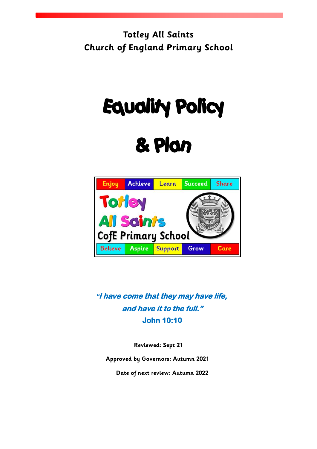**Totley All Saints Church of England Primary School**

# Equality Policy

## & Plan



**"I have come that they may have life, and have it to the full." John 10:10** 

**Reviewed: Sept 21**

**Approved by Governors: Autumn 2021**

**Date of next review: Autumn 2022**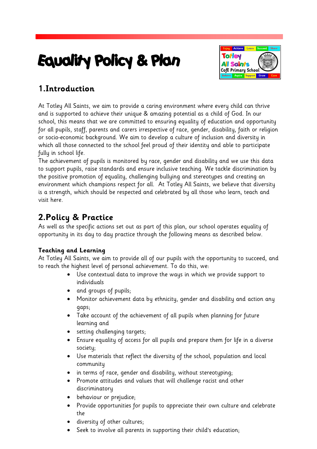## Equality Policy & Plan



## **1.Introduction**

At Totley All Saints, we aim to provide a caring environment where every child can thrive and is supported to achieve their unique & amazing potential as a child of God. In our school, this means that we are committed to ensuring equality of education and opportunity for all pupils, staff, parents and carers irrespective of race, gender, disability, faith or religion or socio-economic background. We aim to develop a culture of inclusion and diversity in which all those connected to the school feel proud of their identity and able to participate fully in school life.

The achievement of pupils is monitored by race, gender and disability and we use this data to support pupils, raise standards and ensure inclusive teaching. We tackle discrimination by the positive promotion of equality, challenging bullying and stereotypes and creating an environment which champions respect for all. At Totley All Saints, we believe that diversity is a strength, which should be respected and celebrated by all those who learn, teach and visit here.

## **2.Policy & Practice**

As well as the specific actions set out as part of this plan, our school operates equality of opportunity in its day to day practice through the following means as described below.

#### **Teaching and Learning**

At Totley All Saints, we aim to provide all of our pupils with the opportunity to succeed, and to reach the highest level of personal achievement. To do this, we:

- Use contextual data to improve the ways in which we provide support to individuals
- and groups of pupils;
- Monitor achievement data by ethnicity, gender and disability and action any gaps;
- Take account of the achievement of all pupils when planning for future learning and
- setting challenging targets;
- Ensure equality of access for all pupils and prepare them for life in a diverse society;
- Use materials that reflect the diversity of the school, population and local community
- in terms of race, gender and disability, without stereotyping;
- Promote attitudes and values that will challenge racist and other discriminatory
- behaviour or prejudice;
- Provide opportunities for pupils to appreciate their own culture and celebrate the
- diversity of other cultures;
- Seek to involve all parents in supporting their child's education;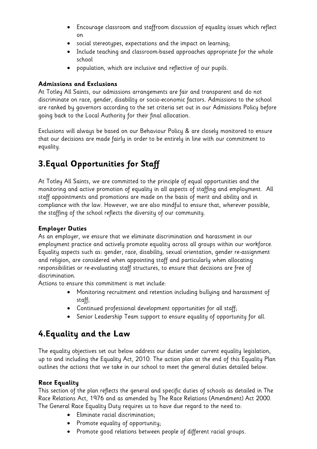- Encourage classroom and staffroom discussion of equality issues which reflect on
- social stereotypes, expectations and the impact on learning;
- Include teaching and classroom-based approaches appropriate for the whole school
- population, which are inclusive and reflective of our pupils.

#### **Admissions and Exclusions**

At Totley All Saints, our admissions arrangements are fair and transparent and do not discriminate on race, gender, disability or socio-economic factors. Admissions to the school are ranked by governors according to the set criteria set out in our Admissions Policy before going back to the Local Authority for their final allocation.

Exclusions will always be based on our Behaviour Policy & are closely monitored to ensure that our decisions are made fairly in order to be entirely in line with our commitment to equality.

## **3.Equal Opportunities for Staff**

At Totley All Saints, we are committed to the principle of equal opportunities and the monitoring and active promotion of equality in all aspects of staffing and employment. All staff appointments and promotions are made on the basis of merit and ability and in compliance with the law. However, we are also mindful to ensure that, wherever possible, the staffing of the school reflects the diversity of our community.

#### **Employer Duties**

As an employer, we ensure that we eliminate discrimination and harassment in our employment practice and actively promote equality across all groups within our workforce. Equality aspects such as: gender, race, disability, sexual orientation, gender re-assignment and religion, are considered when appointing staff and particularly when allocating responsibilities or re-evaluating staff structures, to ensure that decisions are free of discrimination.

Actions to ensure this commitment is met include:

- Monitoring recruitment and retention including bullying and harassment of staff;
- Continued professional development opportunities for all staff;
- Senior Leadership Team support to ensure equality of opportunity for all.

## **4.Equality and the Law**

The equality objectives set out below address our duties under current equality legislation, up to and including the Equality Act, 2010. The action plan at the end of this Equality Plan outlines the actions that we take in our school to meet the general duties detailed below.

#### **Race Equality**

This section of the plan reflects the general and specific duties of schools as detailed in The Race Relations Act, 1976 and as amended by The Race Relations (Amendment) Act 2000. The General Race Equality Duty requires us to have due regard to the need to:

- Eliminate racial discrimination;
- Promote equality of opportunity;
- Promote good relations between people of different racial groups.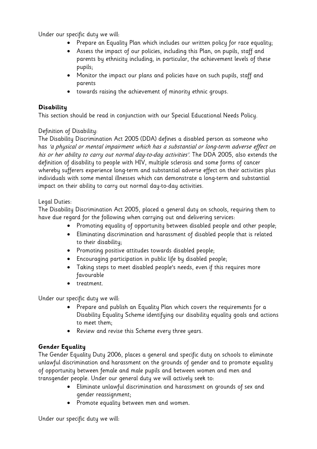Under our specific duty we will:

- Prepare an Equality Plan which includes our written policy for race equality;
- Assess the impact of our policies, including this Plan, on pupils, staff and parents by ethnicity including, in particular, the achievement levels of these pupils;
- Monitor the impact our plans and policies have on such pupils, staff and parents
- towards raising the achievement of minority ethnic groups.

#### **Disability**

This section should be read in conjunction with our Special Educational Needs Policy.

#### Definition of Disability:

The Disability Discrimination Act 2005 (DDA) defines a disabled person as someone who has 'a physical or mental impairment which has a substantial or long-term adverse effect on his or her ability to carry out normal day-to-day activities'. The DDA 2005, also extends the definition of disability to people with HIV, multiple sclerosis and some forms of cancer whereby sufferers experience long-term and substantial adverse effect on their activities plus individuals with some mental illnesses which can demonstrate a long-term and substantial impact on their ability to carry out normal day-to-day activities.

#### Legal Duties:

The Disability Discrimination Act 2005, placed a general duty on schools, requiring them to have due regard for the following when carrying out and delivering services:

- Promoting equality of opportunity between disabled people and other people;
- Eliminating discrimination and harassment of disabled people that is related to their disability;
- Promoting positive attitudes towards disabled people;
- Encouraging participation in public life by disabled people;
- Taking steps to meet disabled people's needs, even if this requires more favourable
- treatment.

Under our specific duty we will:

- Prepare and publish an Equality Plan which covers the requirements for a Disability Equality Scheme identifying our disability equality goals and actions to meet them;
- Review and revise this Scheme every three years.

#### **Gender Equality**

The Gender Equality Duty 2006, places a general and specific duty on schools to eliminate unlawful discrimination and harassment on the grounds of gender and to promote equality of opportunity between female and male pupils and between women and men and transgender people. Under our general duty we will actively seek to:

- Eliminate unlawful discrimination and harassment on grounds of sex and gender reassignment;
- Promote equality between men and women.

Under our specific duty we will: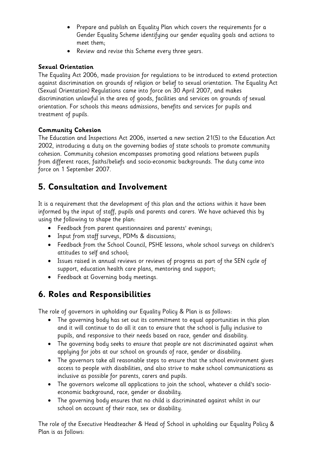- Prepare and publish an Equality Plan which covers the requirements for a Gender Equality Scheme identifying our gender equality goals and actions to meet them;
- Review and revise this Scheme every three years.

#### **Sexual Orientation**

The Equality Act 2006, made provision for regulations to be introduced to extend protection against discrimination on grounds of religion or belief to sexual orientation. The Equality Act (Sexual Orientation) Regulations came into force on 30 April 2007, and makes discrimination unlawful in the area of goods, facilities and services on grounds of sexual orientation. For schools this means admissions, benefits and services for pupils and treatment of pupils.

#### **Community Cohesion**

The Education and Inspections Act 2006, inserted a new section 21(5) to the Education Act 2002, introducing a duty on the governing bodies of state schools to promote community cohesion. Community cohesion encompasses promoting good relations between pupils from different races, faiths/beliefs and socio-economic backgrounds. The duty came into force on 1 September 2007.

## **5. Consultation and Involvement**

It is a requirement that the development of this plan and the actions within it have been informed by the input of staff, pupils and parents and carers. We have achieved this by using the following to shape the plan:

- Feedback from parent questionnaires and parents' evenings;
- Input from staff surveys, PDMs & discussions;
- Feedback from the School Council, PSHE lessons, whole school surveys on children's attitudes to self and school;
- Issues raised in annual reviews or reviews of progress as part of the SEN cycle of support, education health care plans, mentoring and support;
- Feedback at Governing body meetings.

## **6. Roles and Responsibilities**

The role of governors in upholding our Equality Policy & Plan is as follows:

- The governing body has set out its commitment to equal opportunities in this plan and it will continue to do all it can to ensure that the school is fully inclusive to pupils, and responsive to their needs based on race, gender and disability.
- The governing body seeks to ensure that people are not discriminated against when applying for jobs at our school on grounds of race, gender or disability.
- The governors take all reasonable steps to ensure that the school environment gives access to people with disabilities, and also strive to make school communications as inclusive as possible for parents, carers and pupils.
- The governors welcome all applications to join the school, whatever a child's socioeconomic background, race, gender or disability.
- The governing body ensures that no child is discriminated against whilst in our school on account of their race, sex or disability.

The role of the Executive Headteacher & Head of School in upholding our Equality Policy & Plan is as follows: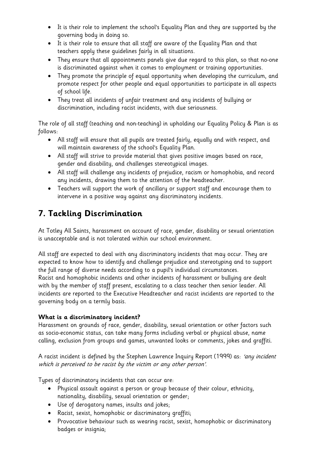- It is their role to implement the school's Equality Plan and they are supported by the governing body in doing so.
- It is their role to ensure that all staff are aware of the Equality Plan and that teachers apply these guidelines fairly in all situations.
- They ensure that all appointments panels give due regard to this plan, so that no-one is discriminated against when it comes to employment or training opportunities.
- They promote the principle of equal opportunity when developing the curriculum, and promote respect for other people and equal opportunities to participate in all aspects of school life.
- They treat all incidents of unfair treatment and any incidents of bullying or discrimination, including racist incidents, with due seriousness.

The role of all staff (teaching and non-teaching) in upholding our Equality Policy & Plan is as follows:

- All staff will ensure that all pupils are treated fairly, equally and with respect, and will maintain awareness of the school's Equality Plan.
- All staff will strive to provide material that gives positive images based on race, gender and disability, and challenges stereotypical images.
- All staff will challenge any incidents of prejudice, racism or homophobia, and record any incidents, drawing them to the attention of the headteacher.
- Teachers will support the work of ancillary or support staff and encourage them to intervene in a positive way against any discriminatory incidents.

## **7. Tackling Discrimination**

At Totley All Saints, harassment on account of race, gender, disability or sexual orientation is unacceptable and is not tolerated within our school environment.

All staff are expected to deal with any discriminatory incidents that may occur. They are expected to know how to identify and challenge prejudice and stereotyping and to support the full range of diverse needs according to a pupil's individual circumstances. Racist and homophobic incidents and other incidents of harassment or bullying are dealt with by the member of staff present, escalating to a class teacher then senior leader. All incidents are reported to the Executive Headteacher and racist incidents are reported to the governing body on a termly basis.

#### **What is a discriminatory incident?**

Harassment on grounds of race, gender, disability, sexual orientation or other factors such as socio-economic status, can take many forms including verbal or physical abuse, name calling, exclusion from groups and games, unwanted looks or comments, jokes and graffiti.

A racist incident is defined by the Stephen Lawrence Inquiry Report (1999) as: 'any incident which is perceived to be racist by the victim or any other person'.

Types of discriminatory incidents that can occur are:

- Physical assault against a person or group because of their colour, ethnicity, nationality, disability, sexual orientation or gender;
- Use of derogatory names, insults and jokes;
- Racist, sexist, homophobic or discriminatory graffiti;
- Provocative behaviour such as wearing racist, sexist, homophobic or discriminatory badges or insignia;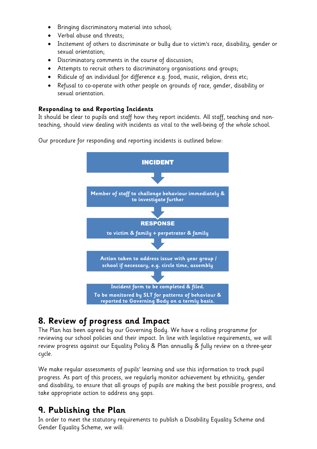- Bringing discriminatory material into school;
- Verbal abuse and threats;
- Incitement of others to discriminate or bully due to victim's race, disability, gender or sexual orientation;
- Discriminatory comments in the course of discussion;
- Attempts to recruit others to discriminatory organisations and groups;
- Ridicule of an individual for difference e.g. food, music, religion, dress etc;
- Refusal to co-operate with other people on grounds of race, gender, disability or sexual orientation.

#### **Responding to and Reporting Incidents**

It should be clear to pupils and staff how they report incidents. All staff, teaching and nonteaching, should view dealing with incidents as vital to the well-being of the whole school.

Our procedure for responding and reporting incidents is outlined below:



### **8. Review of progress and Impact**

The Plan has been agreed by our Governing Body. We have a rolling programme for reviewing our school policies and their impact. In line with legislative requirements, we will review progress against our Equality Policy & Plan annually & fully review on a three-year cycle.

We make regular assessments of pupils' learning and use this information to track pupil progress. As part of this process, we regularly monitor achievement by ethnicity, gender and disability, to ensure that all groups of pupils are making the best possible progress, and take appropriate action to address any gaps.

### **9. Publishing the Plan**

In order to meet the statutory requirements to publish a Disability Equality Scheme and Gender Equality Scheme, we will: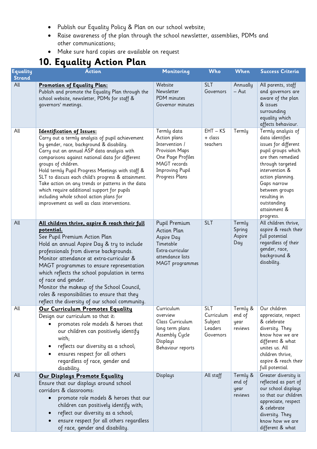- Publish our Equality Policy & Plan on our school website;
- Raise awareness of the plan through the school newsletter, assemblies, PDMs and other communications;
- Make sure hard copies are available on request

## **10. Equality Action Plan**

| <b>Equality</b><br><b>Strand</b> | ------<br><b>Action</b>                                                                                                                                                                                                                                                                                                                                                                                                                                                                                                                                           | Monitoring                                                                                                                                       | <b>Who</b>                                                  | <b>When</b>                           | <b>Success Criteria</b>                                                                                                                                                                                                                                         |
|----------------------------------|-------------------------------------------------------------------------------------------------------------------------------------------------------------------------------------------------------------------------------------------------------------------------------------------------------------------------------------------------------------------------------------------------------------------------------------------------------------------------------------------------------------------------------------------------------------------|--------------------------------------------------------------------------------------------------------------------------------------------------|-------------------------------------------------------------|---------------------------------------|-----------------------------------------------------------------------------------------------------------------------------------------------------------------------------------------------------------------------------------------------------------------|
| All                              | <b>Promotion of Equality Plan:</b><br>Publish and promote the Equality Plan through the<br>school website, newsletter, PDMs for staff &<br>governors' meetings.                                                                                                                                                                                                                                                                                                                                                                                                   | Website<br>Newsletter<br>PDM minutes<br>Governor minutes                                                                                         | <b>SLT</b><br>Governors                                     | Annually<br>$-$ Aut                   | All parents, staff<br>and governors are<br>aware of the plan<br>& issues<br>surrounding<br>equality which<br>affects behaviour.                                                                                                                                 |
| All                              | <b>Identification of Issues:</b><br>Carry out a termly analysis of pupil achievement<br>by gender, race, background & disability.<br>Carry out an annual ASP data analysis with<br>comparisons against national data for different<br>groups of children.<br>Hold termly Pupil Progress Meetings with staff &<br>SLT to discuss each child's progress & attainment.<br>Take action on any trends or patterns in the data<br>which require additional support for pupils<br>including whole school action plans for<br>improvement as well as class interventions. | Termly data<br>Action plans<br>Intervention /<br>Provision Maps<br>One Page Profiles<br>MAGT records<br><b>Improving Pupil</b><br>Progress Plans | $EHT - KS$<br>+ class<br>teachers                           | Termly                                | Termly analysis of<br>data identifies<br>issues for different<br>pupil groups which<br>are then remedied<br>through targeted<br>intervention &<br>action planning.<br>Gaps narrow<br>between groups<br>resulting in<br>outstanding<br>attainment &<br>progress. |
| All                              | All children thrive, aspire & reach their full<br>potential.<br>See Pupil Premium Action Plan<br>Hold an annual Aspire Day & try to include<br>professionals from diverse backgrounds.<br>Monitor attendance at extra-curricular &<br>MAGT programmes to ensure representation<br>which reflects the school population in terms<br>of race and gender.<br>Monitor the makeup of the School Council,<br>roles & responsibilities to ensure that they<br>reflect the diversity of our school community.                                                             | Pupil Premium<br><b>Action Plan</b><br>Aspire Day<br>Timetable<br>Extra-curricular<br>attendance lists<br>MAGT programmes                        | <b>SLT</b>                                                  | Termly<br>Spring<br>Aspire<br>Day     | All children thrive,<br>aspire & reach their<br>full potential<br>regardless of their<br>gender, race,<br>background &<br>disability.                                                                                                                           |
| All                              | Our Curriculum Promotes Equality<br>Design our curriculum so that it:<br>promotes role models & heroes that<br>our children can positively identify<br>with;<br>reflects our diversity as a school;<br>ensures respect for all others<br>regardless of race, gender and<br>disability.                                                                                                                                                                                                                                                                            | Curriculum<br>overview<br>Class Curriculum<br>long term plans<br>Assembly Cycle<br>Displays<br>Behaviour reports                                 | <b>SLT</b><br>Curriculum<br>Subject<br>Leaders<br>Governors | Termly &<br>end of<br>year<br>reviews | Our children<br>appreciate, respect<br>& celebrate<br>diversity. They<br>know how we are<br>different & what<br>unites us. All<br>children thrive,<br>aspire & reach their<br>full potential.                                                                   |
| All                              | Our Displays Promote Equality<br>Ensure that our displays around school<br>corridors & classrooms:<br>promote role models & heroes that our<br>children can positively identify with;<br>reflect our diversity as a school;<br>ensure respect for all others regardless<br>of race, gender and disability.                                                                                                                                                                                                                                                        | Displays                                                                                                                                         | All staff                                                   | Termly &<br>end of<br>year<br>reviews | Greater diversity is<br>reflected as part of<br>our school displays<br>so that our children<br>appreciate, respect<br>& celebrate<br>diversity. They<br>know how we are<br>different & what                                                                     |